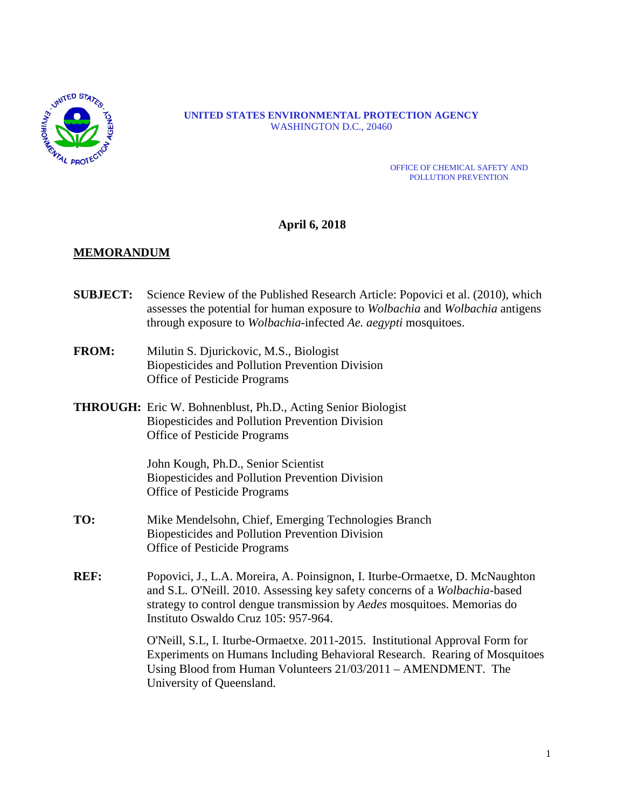

#### **UNITED STATES ENVIRONMENTAL PROTECTION AGENCY** WASHINGTON D.C., 20460

#### OFFICE OF CHEMICAL SAFETY AND POLLUTION PREVENTION

# **April 6, 2018**

# **MEMORANDUM**

- **SUBJECT:** Science Review of the Published Research Article: Popovici et al. (2010), which assesses the potential for human exposure to *Wolbachia* and *Wolbachia* antigens through exposure to *Wolbachia*-infected *Ae. aegypti* mosquitoes.
- **FROM:** Milutin S. Djurickovic, M.S., Biologist Biopesticides and Pollution Prevention Division Office of Pesticide Programs
- **THROUGH:** Eric W. Bohnenblust, Ph.D., Acting Senior Biologist Biopesticides and Pollution Prevention Division Office of Pesticide Programs

John Kough, Ph.D., Senior Scientist Biopesticides and Pollution Prevention Division Office of Pesticide Programs

- **TO:** Mike Mendelsohn, Chief, Emerging Technologies Branch Biopesticides and Pollution Prevention Division Office of Pesticide Programs
- **REF:** Popovici, J., L.A. Moreira, A. Poinsignon, I. Iturbe-Ormaetxe, D. McNaughton and S.L. O'Neill. 2010. Assessing key safety concerns of a *Wolbachia*-based strategy to control dengue transmission by *Aedes* mosquitoes. Memorias do Instituto Oswaldo Cruz 105: 957-964.

O'Neill, S.L, I. Iturbe-Ormaetxe. 2011-2015. Institutional Approval Form for Experiments on Humans Including Behavioral Research. Rearing of Mosquitoes Using Blood from Human Volunteers 21/03/2011 – AMENDMENT. The University of Queensland.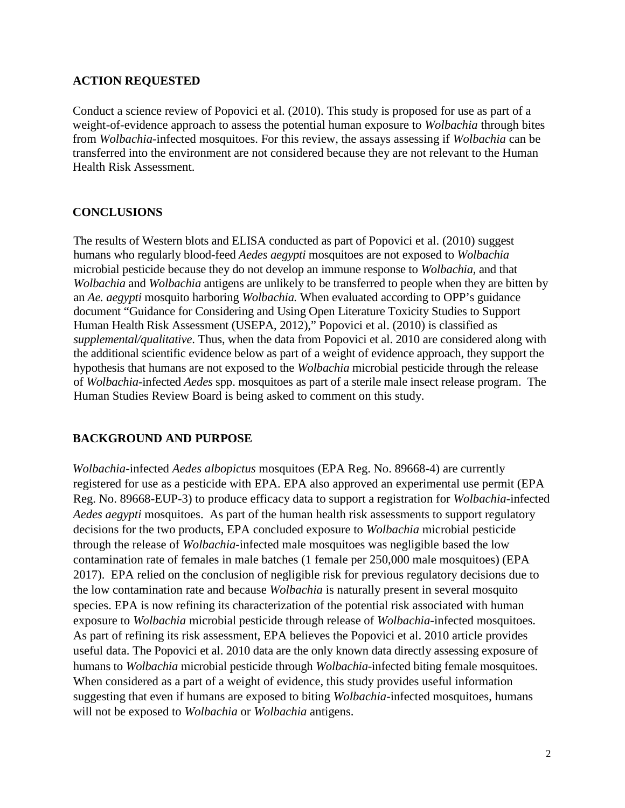# **ACTION REQUESTED**

Conduct a science review of Popovici et al. (2010). This study is proposed for use as part of a weight-of-evidence approach to assess the potential human exposure to *Wolbachia* through bites from *Wolbachia*-infected mosquitoes. For this review, the assays assessing if *Wolbachia* can be transferred into the environment are not considered because they are not relevant to the Human Health Risk Assessment.

# **CONCLUSIONS**

The results of Western blots and ELISA conducted as part of Popovici et al. (2010) suggest humans who regularly blood-feed *Aedes aegypti* mosquitoes are not exposed to *Wolbachia* microbial pesticide because they do not develop an immune response to *Wolbachia,* and that *Wolbachia* and *Wolbachia* antigens are unlikely to be transferred to people when they are bitten by an *Ae. aegypti* mosquito harboring *Wolbachia.* When evaluated according to OPP's guidance document "Guidance for Considering and Using Open Literature Toxicity Studies to Support Human Health Risk Assessment (USEPA, 2012)," Popovici et al. (2010) is classified as *supplemental/qualitative*. Thus, when the data from Popovici et al. 2010 are considered along with the additional scientific evidence below as part of a weight of evidence approach, they support the hypothesis that humans are not exposed to the *Wolbachia* microbial pesticide through the release of *Wolbachia*-infected *Aedes* spp. mosquitoes as part of a sterile male insect release program. The Human Studies Review Board is being asked to comment on this study.

# **BACKGROUND AND PURPOSE**

*Wolbachia*-infected *Aedes albopictus* mosquitoes (EPA Reg. No. 89668-4) are currently registered for use as a pesticide with EPA. EPA also approved an experimental use permit (EPA Reg. No. 89668-EUP-3) to produce efficacy data to support a registration for *Wolbachia*-infected *Aedes aegypti* mosquitoes. As part of the human health risk assessments to support regulatory decisions for the two products, EPA concluded exposure to *Wolbachia* microbial pesticide through the release of *Wolbachia*-infected male mosquitoes was negligible based the low contamination rate of females in male batches (1 female per 250,000 male mosquitoes) (EPA 2017). EPA relied on the conclusion of negligible risk for previous regulatory decisions due to the low contamination rate and because *Wolbachia* is naturally present in several mosquito species. EPA is now refining its characterization of the potential risk associated with human exposure to *Wolbachia* microbial pesticide through release of *Wolbachia*-infected mosquitoes. As part of refining its risk assessment, EPA believes the Popovici et al. 2010 article provides useful data. The Popovici et al. 2010 data are the only known data directly assessing exposure of humans to *Wolbachia* microbial pesticide through *Wolbachia*-infected biting female mosquitoes. When considered as a part of a weight of evidence, this study provides useful information suggesting that even if humans are exposed to biting *Wolbachia*-infected mosquitoes, humans will not be exposed to *Wolbachia* or *Wolbachia* antigens.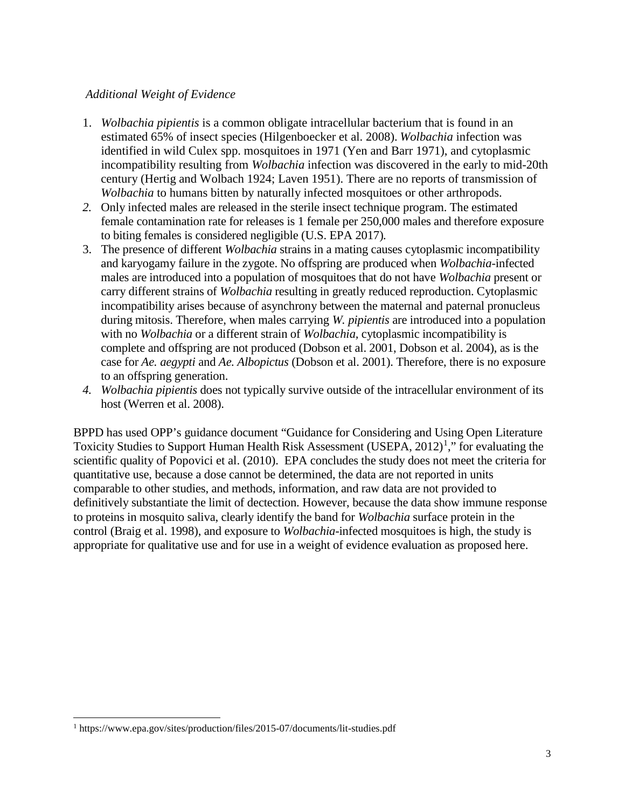# *Additional Weight of Evidence*

- 1. *Wolbachia pipientis* is a common obligate intracellular bacterium that is found in an estimated 65% of insect species (Hilgenboecker et al. 2008). *Wolbachia* infection was identified in wild Culex spp. mosquitoes in 1971 (Yen and Barr 1971), and cytoplasmic incompatibility resulting from *Wolbachia* infection was discovered in the early to mid-20th century (Hertig and Wolbach 1924; Laven 1951). There are no reports of transmission of *Wolbachia* to humans bitten by naturally infected mosquitoes or other arthropods.
- *2.* Only infected males are released in the sterile insect technique program. The estimated female contamination rate for releases is 1 female per 250,000 males and therefore exposure to biting females is considered negligible (U.S. EPA 2017)*.*
- 3. The presence of different *Wolbachia* strains in a mating causes cytoplasmic incompatibility and karyogamy failure in the zygote. No offspring are produced when *Wolbachia-*infected males are introduced into a population of mosquitoes that do not have *Wolbachia* present or carry different strains of *Wolbachia* resulting in greatly reduced reproduction. Cytoplasmic incompatibility arises because of asynchrony between the maternal and paternal pronucleus during mitosis. Therefore, when males carrying *W. pipientis* are introduced into a population with no *Wolbachia* or a different strain of *Wolbachia,* cytoplasmic incompatibility is complete and offspring are not produced (Dobson et al. 2001, Dobson et al. 2004), as is the case for *Ae. aegypti* and *Ae. Albopictus* (Dobson et al. 2001). Therefore, there is no exposure to an offspring generation.
- *4. Wolbachia pipientis* does not typically survive outside of the intracellular environment of its host (Werren et al. 2008).

BPPD has used OPP's guidance document "Guidance for Considering and Using Open Literature Toxicity Studies to Support Human Health Risk Assessment (USEPA,  $2012$  $2012$  $2012$ )<sup>1</sup>," for evaluating the scientific quality of Popovici et al. (2010). EPA concludes the study does not meet the criteria for quantitative use, because a dose cannot be determined, the data are not reported in units comparable to other studies, and methods, information, and raw data are not provided to definitively substantiate the limit of dectection. However, because the data show immune response to proteins in mosquito saliva, clearly identify the band for *Wolbachia* surface protein in the control (Braig et al. 1998), and exposure to *Wolbachia*-infected mosquitoes is high, the study is appropriate for qualitative use and for use in a weight of evidence evaluation as proposed here.

<span id="page-2-0"></span> <sup>1</sup> https://www.epa.gov/sites/production/files/2015-07/documents/lit-studies.pdf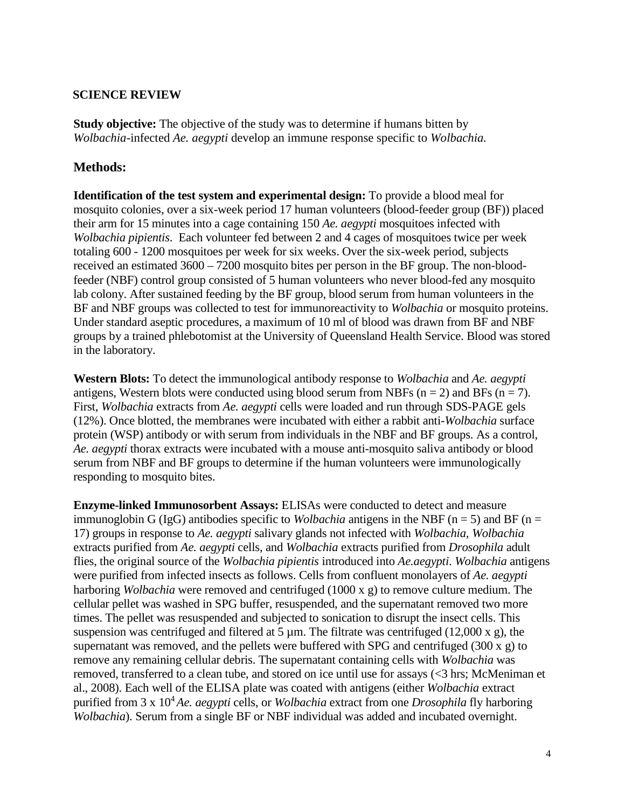### **SCIENCE REVIEW**

**Study objective:** The objective of the study was to determine if humans bitten by *Wolbachia*-infected *Ae. aegypti* develop an immune response specific to *Wolbachia.*

# **Methods:**

**Identification of the test system and experimental design:** To provide a blood meal for mosquito colonies, over a six-week period 17 human volunteers (blood-feeder group (BF)) placed their arm for 15 minutes into a cage containing 150 *Ae. aegypti* mosquitoes infected with *Wolbachia pipientis*. Each volunteer fed between 2 and 4 cages of mosquitoes twice per week totaling 600 - 1200 mosquitoes per week for six weeks. Over the six-week period, subjects received an estimated 3600 – 7200 mosquito bites per person in the BF group. The non-bloodfeeder (NBF) control group consisted of 5 human volunteers who never blood-fed any mosquito lab colony. After sustained feeding by the BF group, blood serum from human volunteers in the BF and NBF groups was collected to test for immunoreactivity to *Wolbachia* or mosquito proteins. Under standard aseptic procedures, a maximum of 10 ml of blood was drawn from BF and NBF groups by a trained phlebotomist at the University of Queensland Health Service. Blood was stored in the laboratory.

**Western Blots:** To detect the immunological antibody response to *Wolbachia* and *Ae. aegypti* antigens, Western blots were conducted using blood serum from NBFs ( $n = 2$ ) and BFs ( $n = 7$ ). First, *Wolbachia* extracts from *Ae. aegypti* cells were loaded and run through SDS-PAGE gels (12%). Once blotted, the membranes were incubated with either a rabbit anti-*Wolbachia* surface protein (WSP) antibody or with serum from individuals in the NBF and BF groups. As a control, *Ae. aegypti* thorax extracts were incubated with a mouse anti-mosquito saliva antibody or blood serum from NBF and BF groups to determine if the human volunteers were immunologically responding to mosquito bites.

**Enzyme-linked Immunosorbent Assays:** ELISAs were conducted to detect and measure immunoglobin G (IgG) antibodies specific to *Wolbachia* antigens in the NBF ( $n = 5$ ) and BF ( $n =$ 17) groups in response to *Ae. aegypti* salivary glands not infected with *Wolbachia, Wolbachia*  extracts purified from *Ae. aegypti* cells, and *Wolbachia* extracts purified from *Drosophila* adult flies, the original source of the *Wolbachia pipientis* introduced into *Ae.aegypti*. *Wolbachia* antigens were purified from infected insects as follows. Cells from confluent monolayers of *Ae. aegypti* harboring *Wolbachia* were removed and centrifuged (1000 x g) to remove culture medium. The cellular pellet was washed in SPG buffer, resuspended, and the supernatant removed two more times. The pellet was resuspended and subjected to sonication to disrupt the insect cells. This suspension was centrifuged and filtered at 5  $\mu$ m. The filtrate was centrifuged (12,000 x g), the supernatant was removed, and the pellets were buffered with SPG and centrifuged (300 x g) to remove any remaining cellular debris. The supernatant containing cells with *Wolbachia* was removed, transferred to a clean tube, and stored on ice until use for assays (<3 hrs; McMeniman et al., 2008). Each well of the ELISA plate was coated with antigens (either *Wolbachia* extract purified from 3 x 104 *Ae. aegypti* cells, or *Wolbachia* extract from one *Drosophila* fly harboring *Wolbachia*). Serum from a single BF or NBF individual was added and incubated overnight.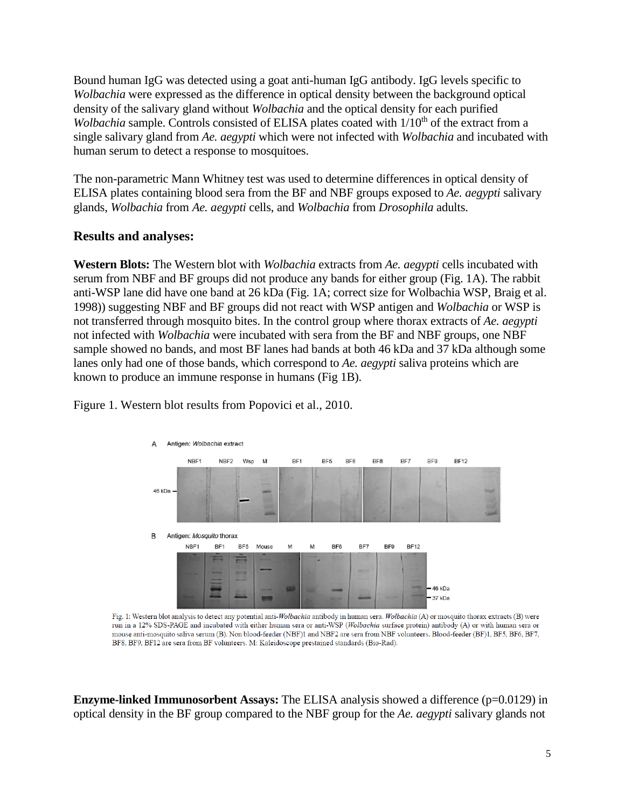Bound human IgG was detected using a goat anti-human IgG antibody. IgG levels specific to *Wolbachia* were expressed as the difference in optical density between the background optical density of the salivary gland without *Wolbachia* and the optical density for each purified *Wolbachia* sample. Controls consisted of ELISA plates coated with 1/10<sup>th</sup> of the extract from a single salivary gland from *Ae. aegypti* which were not infected with *Wolbachia* and incubated with human serum to detect a response to mosquitoes.

The non-parametric Mann Whitney test was used to determine differences in optical density of ELISA plates containing blood sera from the BF and NBF groups exposed to *Ae. aegypti* salivary glands, *Wolbachia* from *Ae. aegypti* cells, and *Wolbachia* from *Drosophila* adults.

# **Results and analyses:**

**Western Blots:** The Western blot with *Wolbachia* extracts from *Ae. aegypti* cells incubated with serum from NBF and BF groups did not produce any bands for either group (Fig. 1A). The rabbit anti-WSP lane did have one band at 26 kDa (Fig. 1A; correct size for Wolbachia WSP, Braig et al. 1998)) suggesting NBF and BF groups did not react with WSP antigen and *Wolbachia* or WSP is not transferred through mosquito bites. In the control group where thorax extracts of *Ae. aegypti* not infected with *Wolbachia* were incubated with sera from the BF and NBF groups, one NBF sample showed no bands, and most BF lanes had bands at both 46 kDa and 37 kDa although some lanes only had one of those bands, which correspond to *Ae. aegypti* saliva proteins which are known to produce an immune response in humans (Fig 1B).

> Antigen: Wolbachia extract A NBF1 NBF<sub>2</sub> Wsp BF1 BF<sub>6</sub> BF<sub>8</sub> BF7 BF9 **BF12** M BF<sub>5</sub> 46 kDa Antigen: Mosquito thorax B NBF1 BF1 BF5 Mouse M M BF6 BF7 BF9 **BF12** 46 kDa

Figure 1. Western blot results from Popovici et al., 2010.

Fig. 1: Western blot analysis to detect any potential anti-Wolbachia antibody in human sera. Wolbachia (A) or mosquito thorax extracts (B) were run in a 12% SDS-PAGE and incubated with either human sera or anti-WSP (Wolbachia surface protein) antibody (A) or with human sera or mouse anti-mosquito saliva serum (B). Non blood-feeder (NBF)1 and NBF2 are sera from NBF volunteers. Blood-feeder (BF)1, BF5, BF6, BF7, BF8, BF9, BF12 are sera from BF volunteers. M: Kaleidoscope prestained standards (Bio-Rad).

37 kDa

**Enzyme-linked Immunosorbent Assays:** The ELISA analysis showed a difference (p=0.0129) in optical density in the BF group compared to the NBF group for the *Ae. aegypti* salivary glands not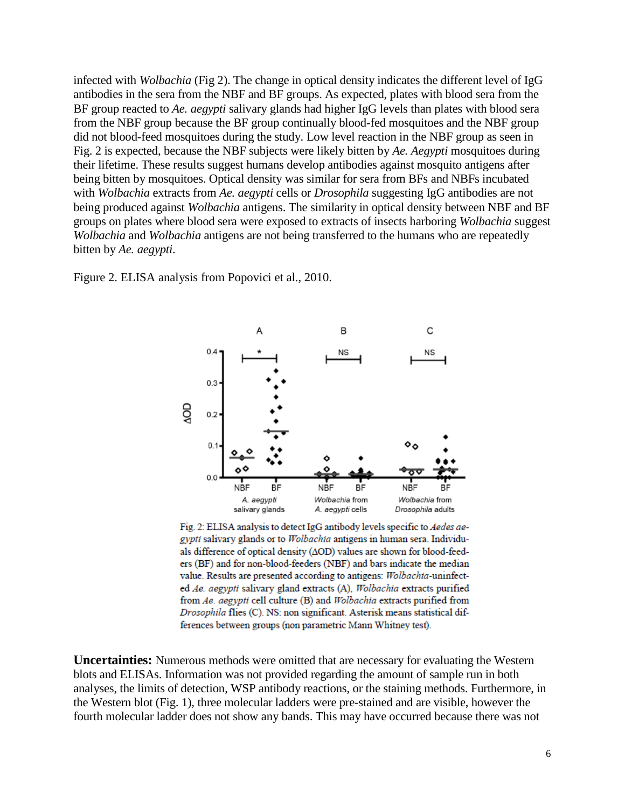infected with *Wolbachia* (Fig 2). The change in optical density indicates the different level of IgG antibodies in the sera from the NBF and BF groups. As expected, plates with blood sera from the BF group reacted to *Ae. aegypti* salivary glands had higher IgG levels than plates with blood sera from the NBF group because the BF group continually blood-fed mosquitoes and the NBF group did not blood-feed mosquitoes during the study. Low level reaction in the NBF group as seen in Fig. 2 is expected, because the NBF subjects were likely bitten by *Ae. Aegypti* mosquitoes during their lifetime. These results suggest humans develop antibodies against mosquito antigens after being bitten by mosquitoes. Optical density was similar for sera from BFs and NBFs incubated with *Wolbachia* extracts from *Ae. aegypti* cells or *Drosophila* suggesting IgG antibodies are not being produced against *Wolbachia* antigens. The similarity in optical density between NBF and BF groups on plates where blood sera were exposed to extracts of insects harboring *Wolbachia* suggest *Wolbachia* and *Wolbachia* antigens are not being transferred to the humans who are repeatedly bitten by *Ae. aegypti*.

Figure 2. ELISA analysis from Popovici et al., 2010.



Fig. 2: ELISA analysis to detect IgG antibody levels specific to Aedes aegypti salivary glands or to Wolbachia antigens in human sera. Individuals difference of optical density (AOD) values are shown for blood-feeders (BF) and for non-blood-feeders (NBF) and bars indicate the median value. Results are presented according to antigens: Wolbachia-uninfected Ae. aegypti salivary gland extracts (A), Wolbachia extracts purified from Ae. aegypti cell culture (B) and Wolbachia extracts purified from Drosophila flies (C). NS: non significant. Asterisk means statistical differences between groups (non parametric Mann Whitney test).

**Uncertainties:** Numerous methods were omitted that are necessary for evaluating the Western blots and ELISAs. Information was not provided regarding the amount of sample run in both analyses, the limits of detection, WSP antibody reactions, or the staining methods. Furthermore, in the Western blot (Fig. 1), three molecular ladders were pre-stained and are visible, however the fourth molecular ladder does not show any bands. This may have occurred because there was not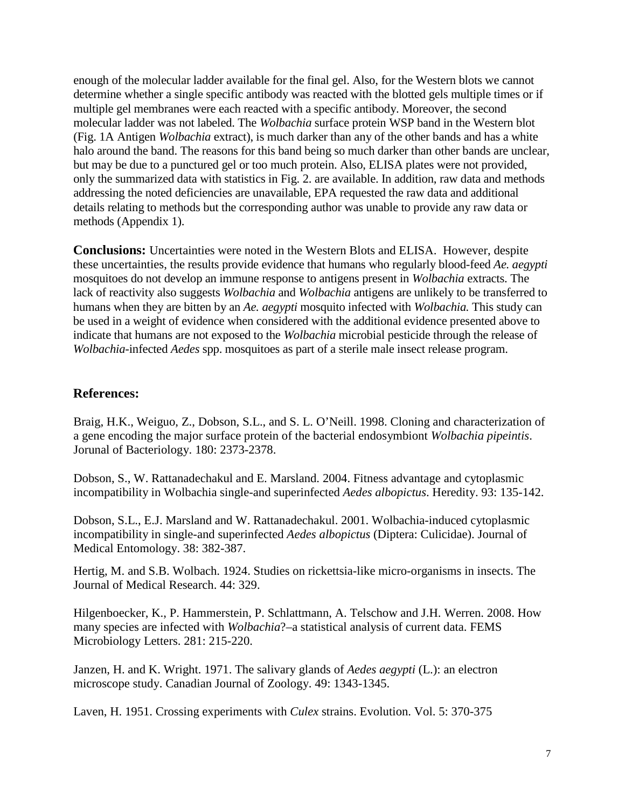enough of the molecular ladder available for the final gel. Also, for the Western blots we cannot determine whether a single specific antibody was reacted with the blotted gels multiple times or if multiple gel membranes were each reacted with a specific antibody. Moreover, the second molecular ladder was not labeled. The *Wolbachia* surface protein WSP band in the Western blot (Fig. 1A Antigen *Wolbachia* extract), is much darker than any of the other bands and has a white halo around the band. The reasons for this band being so much darker than other bands are unclear, but may be due to a punctured gel or too much protein. Also, ELISA plates were not provided, only the summarized data with statistics in Fig. 2. are available. In addition, raw data and methods addressing the noted deficiencies are unavailable, EPA requested the raw data and additional details relating to methods but the corresponding author was unable to provide any raw data or methods (Appendix 1).

**Conclusions:** Uncertainties were noted in the Western Blots and ELISA. However, despite these uncertainties, the results provide evidence that humans who regularly blood-feed *Ae. aegypti* mosquitoes do not develop an immune response to antigens present in *Wolbachia* extracts. The lack of reactivity also suggests *Wolbachia* and *Wolbachia* antigens are unlikely to be transferred to humans when they are bitten by an *Ae. aegypti* mosquito infected with *Wolbachia.* This study can be used in a weight of evidence when considered with the additional evidence presented above to indicate that humans are not exposed to the *Wolbachia* microbial pesticide through the release of *Wolbachia*-infected *Aedes* spp. mosquitoes as part of a sterile male insect release program.

# **References:**

Braig, H.K., Weiguo, Z., Dobson, S.L., and S. L. O'Neill. 1998. Cloning and characterization of a gene encoding the major surface protein of the bacterial endosymbiont *Wolbachia pipeintis*. Jorunal of Bacteriology. 180: 2373-2378.

Dobson, S., W. Rattanadechakul and E. Marsland. 2004. Fitness advantage and cytoplasmic incompatibility in Wolbachia single-and superinfected *Aedes albopictus*. Heredity. 93: 135-142.

Dobson, S.L., E.J. Marsland and W. Rattanadechakul. 2001. Wolbachia-induced cytoplasmic incompatibility in single-and superinfected *Aedes albopictus* (Diptera: Culicidae). Journal of Medical Entomology. 38: 382-387.

Hertig, M. and S.B. Wolbach. 1924. Studies on rickettsia-like micro-organisms in insects. The Journal of Medical Research. 44: 329.

Hilgenboecker, K., P. Hammerstein, P. Schlattmann, A. Telschow and J.H. Werren. 2008. How many species are infected with *Wolbachia*?–a statistical analysis of current data. FEMS Microbiology Letters. 281: 215-220.

Janzen, H. and K. Wright. 1971. The salivary glands of *Aedes aegypti* (L.): an electron microscope study. Canadian Journal of Zoology. 49: 1343-1345.

Laven, H. 1951. Crossing experiments with *Culex* strains. Evolution. Vol. 5: 370-375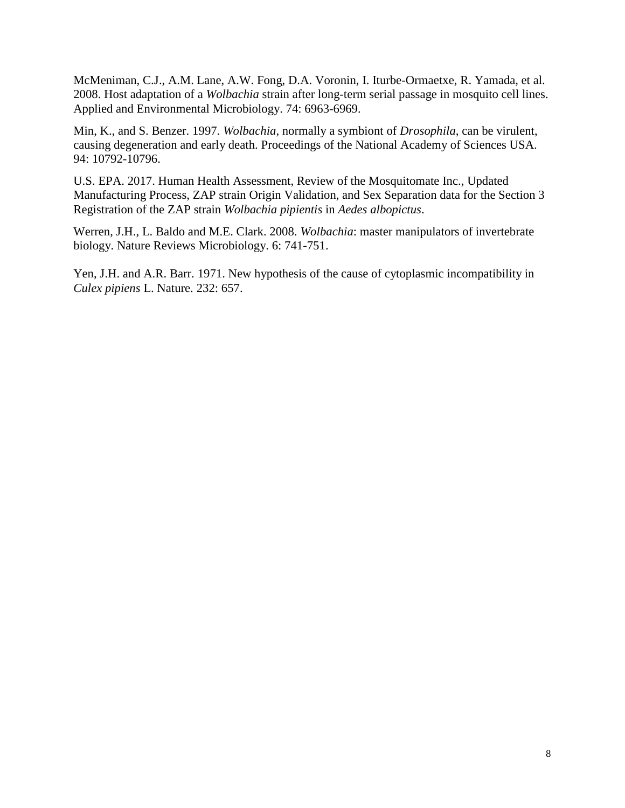McMeniman, C.J., A.M. Lane, A.W. Fong, D.A. Voronin, I. Iturbe-Ormaetxe, R. Yamada, et al. 2008. Host adaptation of a *Wolbachia* strain after long-term serial passage in mosquito cell lines. Applied and Environmental Microbiology. 74: 6963-6969.

Min, K., and S. Benzer. 1997. *Wolbachia*, normally a symbiont of *Drosophila*, can be virulent, causing degeneration and early death. Proceedings of the National Academy of Sciences USA. 94: 10792-10796.

U.S. EPA. 2017. Human Health Assessment, Review of the Mosquitomate Inc., Updated Manufacturing Process, ZAP strain Origin Validation, and Sex Separation data for the Section 3 Registration of the ZAP strain *Wolbachia pipientis* in *Aedes albopictus*.

Werren, J.H., L. Baldo and M.E. Clark. 2008. *Wolbachia*: master manipulators of invertebrate biology. Nature Reviews Microbiology. 6: 741-751.

Yen, J.H. and A.R. Barr. 1971. New hypothesis of the cause of cytoplasmic incompatibility in *Culex pipiens* L. Nature. 232: 657.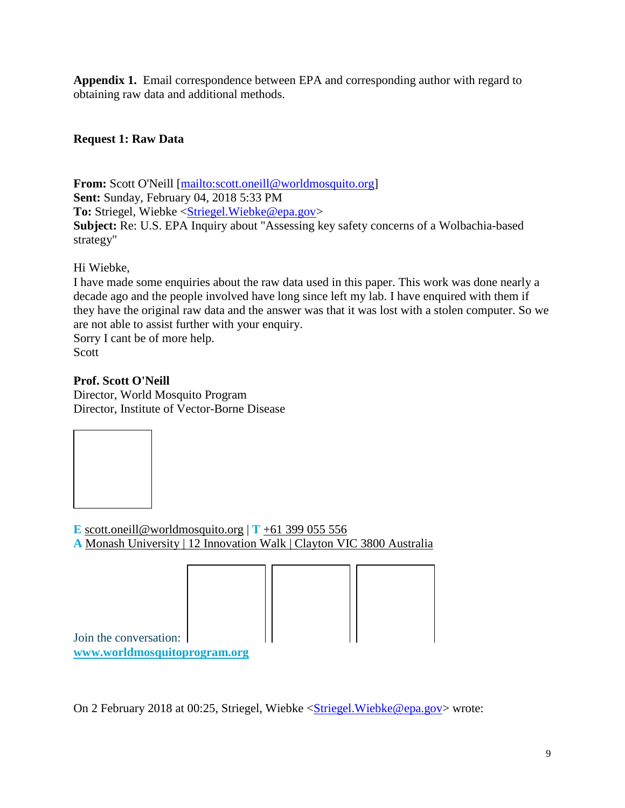**Appendix 1.** Email correspondence between EPA and corresponding author with regard to obtaining raw data and additional methods.

# **Request 1: Raw Data**

**From:** Scott O'Neill [\[mailto:scott.oneill@worldmosquito.org\]](mailto:scott.oneill@worldmosquito.org) **Sent:** Sunday, February 04, 2018 5:33 PM **To:** Striegel, Wiebke [<Striegel.Wiebke@epa.gov>](mailto:Striegel.Wiebke@epa.gov) **Subject:** Re: U.S. EPA Inquiry about "Assessing key safety concerns of a Wolbachia-based strategy"

Hi Wiebke,

I have made some enquiries about the raw data used in this paper. This work was done nearly a decade ago and the people involved have long since left my lab. I have enquired with them if they have the original raw data and the answer was that it was lost with a stolen computer. So we are not able to assist further with your enquiry.

Sorry I cant be of more help. Scott

# **Prof. Scott O'Neill**

Director, World Mosquito Program Director, Institute of Vector-Borne Disease



**E** [scott.oneill@worldmosquito.org](mailto:scott.oneill@worldmosquito.org)  $\mathbf{T}$  [+61 399 055 556](tel:61399055556) **A** [Monash University | 12 Innovation Walk | Clayton VIC 3800 Australia](https://goo.gl/maps/wrcwo3Cycqm)



**[www.worldmosquitoprogram.org](http://www.worldmosquitoprogram.org/)**

Join the conversation:

On 2 February 2018 at 00:25, Striegel, Wiebke [<Striegel.Wiebke@epa.gov>](mailto:Striegel.Wiebke@epa.gov) wrote: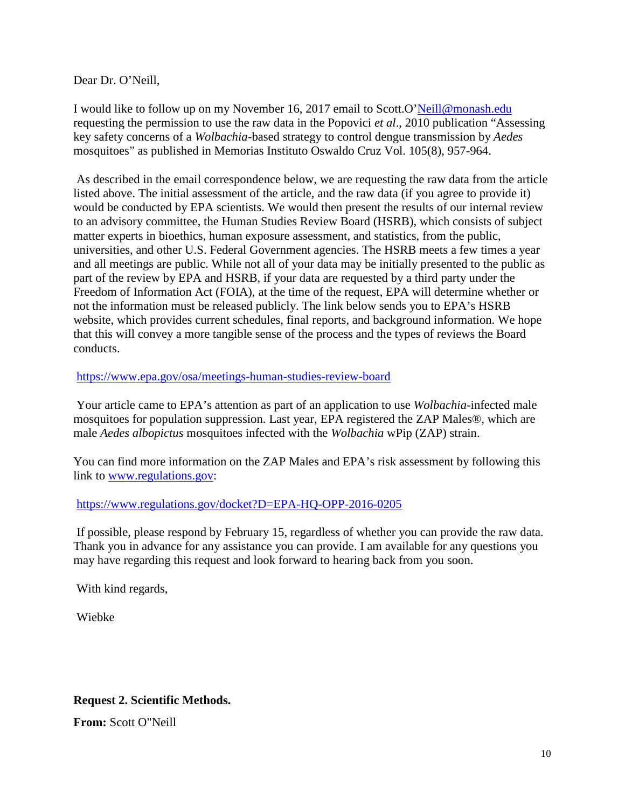Dear Dr. O'Neill,

I would like to follow up on my November 16, 2017 email to Scott.O['Neill@monash.edu](mailto:Neill@monash.edu) requesting the permission to use the raw data in the Popovici *et al*., 2010 publication "Assessing key safety concerns of a *Wolbachia*-based strategy to control dengue transmission by *Aedes* mosquitoes" as published in Memorias Instituto Oswaldo Cruz Vol. 105(8), 957-964.

As described in the email correspondence below, we are requesting the raw data from the article listed above. The initial assessment of the article, and the raw data (if you agree to provide it) would be conducted by EPA scientists. We would then present the results of our internal review to an advisory committee, the Human Studies Review Board (HSRB), which consists of subject matter experts in bioethics, human exposure assessment, and statistics, from the public, universities, and other U.S. Federal Government agencies. The HSRB meets a few times a year and all meetings are public. While not all of your data may be initially presented to the public as part of the review by EPA and HSRB, if your data are requested by a third party under the Freedom of Information Act (FOIA), at the time of the request, EPA will determine whether or not the information must be released publicly. The link below sends you to EPA's HSRB website, which provides current schedules, final reports, and background information. We hope that this will convey a more tangible sense of the process and the types of reviews the Board conducts.

<https://www.epa.gov/osa/meetings-human-studies-review-board>

Your article came to EPA's attention as part of an application to use *Wolbachia*-infected male mosquitoes for population suppression. Last year, EPA registered the ZAP Males®, which are male *Aedes albopictus* mosquitoes infected with the *Wolbachia* wPip (ZAP) strain.

You can find more information on the ZAP Males and EPA's risk assessment by following this link to [www.regulations.gov:](http://www.regulations.gov/)

<https://www.regulations.gov/docket?D=EPA-HQ-OPP-2016-0205>

If possible, please respond by February 15, regardless of whether you can provide the raw data. Thank you in advance for any assistance you can provide. I am available for any questions you may have regarding this request and look forward to hearing back from you soon.

With kind regards,

Wiebke

# **Request 2. Scientific Methods.**

**From:** Scott O"Neill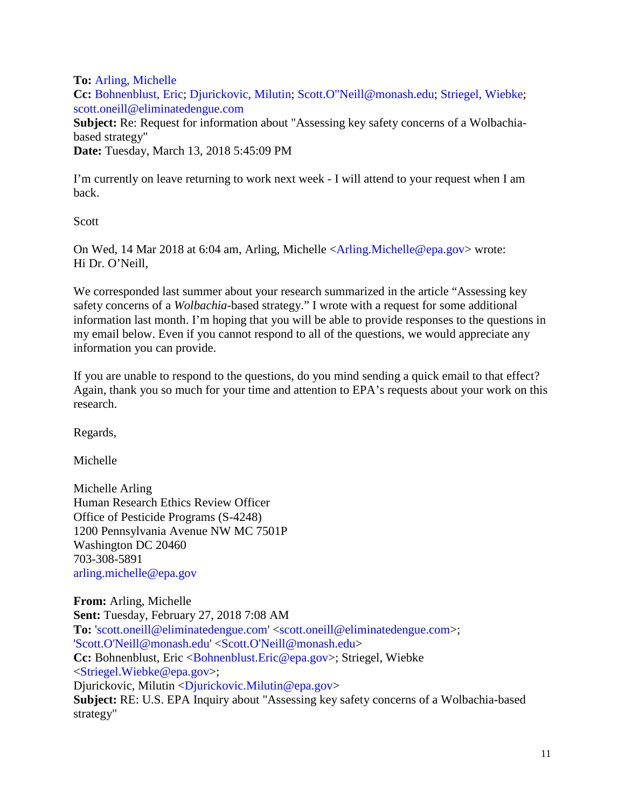**To:** Arling, Michelle

**Cc:** Bohnenblust, Eric; Djurickovic, Milutin; Scott.O"Neill@monash.edu; Striegel, Wiebke; scott.oneill@eliminatedengue.com

**Subject:** Re: Request for information about "Assessing key safety concerns of a Wolbachiabased strategy" **Date:** Tuesday, March 13, 2018 5:45:09 PM

I'm currently on leave returning to work next week - I will attend to your request when I am back.

Scott

On Wed, 14 Mar 2018 at 6:04 am, Arling, Michelle <Arling.Michelle@epa.gov> wrote: Hi Dr. O'Neill,

We corresponded last summer about your research summarized in the article "Assessing key safety concerns of a *Wolbachia*-based strategy." I wrote with a request for some additional information last month. I'm hoping that you will be able to provide responses to the questions in my email below. Even if you cannot respond to all of the questions, we would appreciate any information you can provide.

If you are unable to respond to the questions, do you mind sending a quick email to that effect? Again, thank you so much for your time and attention to EPA's requests about your work on this research.

Regards,

Michelle

Michelle Arling Human Research Ethics Review Officer Office of Pesticide Programs (S-4248) 1200 Pennsylvania Avenue NW MC 7501P Washington DC 20460 703-308-5891 arling.michelle@epa.gov

**From:** Arling, Michelle **Sent:** Tuesday, February 27, 2018 7:08 AM **To:** 'scott.oneill@eliminatedengue.com' <scott.oneill@eliminatedengue.com>; 'Scott.O'Neill@monash.edu' <Scott.O'Neill@monash.edu> **Cc:** Bohnenblust, Eric < Bohnenblust. Eric@epa.gov>; Striegel, Wiebke <Striegel.Wiebke@epa.gov>; Djurickovic, Milutin <Djurickovic.Milutin@epa.gov> **Subject:** RE: U.S. EPA Inquiry about "Assessing key safety concerns of a Wolbachia-based strategy"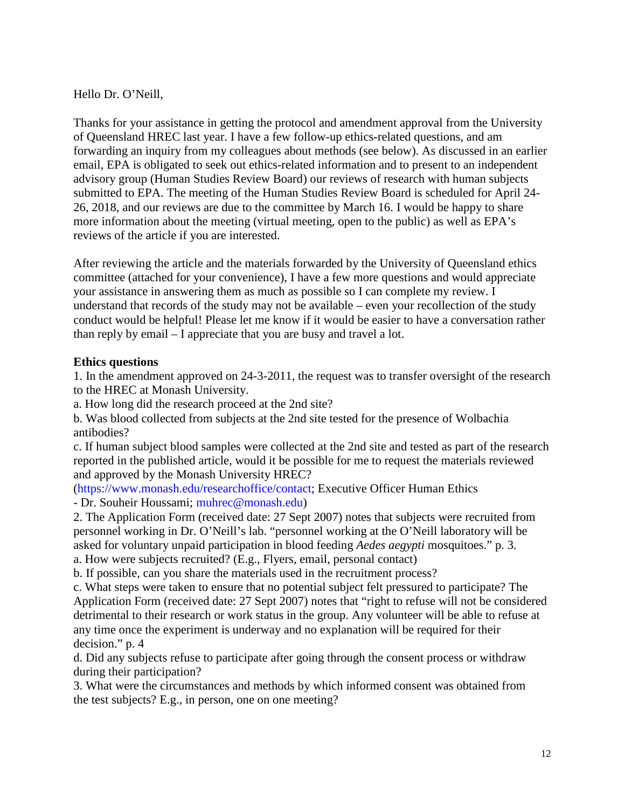Hello Dr. O'Neill,

Thanks for your assistance in getting the protocol and amendment approval from the University of Queensland HREC last year. I have a few follow-up ethics-related questions, and am forwarding an inquiry from my colleagues about methods (see below). As discussed in an earlier email, EPA is obligated to seek out ethics-related information and to present to an independent advisory group (Human Studies Review Board) our reviews of research with human subjects submitted to EPA. The meeting of the Human Studies Review Board is scheduled for April 24- 26, 2018, and our reviews are due to the committee by March 16. I would be happy to share more information about the meeting (virtual meeting, open to the public) as well as EPA's reviews of the article if you are interested.

After reviewing the article and the materials forwarded by the University of Queensland ethics committee (attached for your convenience), I have a few more questions and would appreciate your assistance in answering them as much as possible so I can complete my review. I understand that records of the study may not be available – even your recollection of the study conduct would be helpful! Please let me know if it would be easier to have a conversation rather than reply by email – I appreciate that you are busy and travel a lot.

# **Ethics questions**

1. In the amendment approved on 24-3-2011, the request was to transfer oversight of the research to the HREC at Monash University.

a. How long did the research proceed at the 2nd site?

b. Was blood collected from subjects at the 2nd site tested for the presence of Wolbachia antibodies?

c. If human subject blood samples were collected at the 2nd site and tested as part of the research reported in the published article, would it be possible for me to request the materials reviewed and approved by the Monash University HREC?

(https://www.monash.edu/researchoffice/contact; Executive Officer Human Ethics - Dr. Souheir Houssami; muhrec@monash.edu)

2. The Application Form (received date: 27 Sept 2007) notes that subjects were recruited from personnel working in Dr. O'Neill's lab. "personnel working at the O'Neill laboratory will be asked for voluntary unpaid participation in blood feeding *Aedes aegypti* mosquitoes." p. 3. a. How were subjects recruited? (E.g., Flyers, email, personal contact)

b. If possible, can you share the materials used in the recruitment process?

c. What steps were taken to ensure that no potential subject felt pressured to participate? The Application Form (received date: 27 Sept 2007) notes that "right to refuse will not be considered detrimental to their research or work status in the group. Any volunteer will be able to refuse at any time once the experiment is underway and no explanation will be required for their decision." p. 4

d. Did any subjects refuse to participate after going through the consent process or withdraw during their participation?

3. What were the circumstances and methods by which informed consent was obtained from the test subjects? E.g., in person, one on one meeting?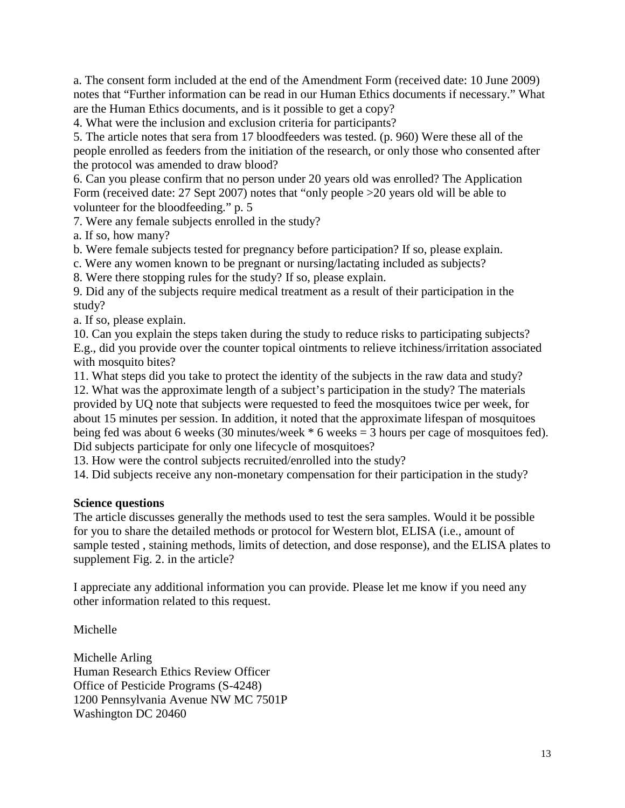a. The consent form included at the end of the Amendment Form (received date: 10 June 2009) notes that "Further information can be read in our Human Ethics documents if necessary." What are the Human Ethics documents, and is it possible to get a copy?

4. What were the inclusion and exclusion criteria for participants?

5. The article notes that sera from 17 bloodfeeders was tested. (p. 960) Were these all of the people enrolled as feeders from the initiation of the research, or only those who consented after the protocol was amended to draw blood?

6. Can you please confirm that no person under 20 years old was enrolled? The Application Form (received date: 27 Sept 2007) notes that "only people >20 years old will be able to volunteer for the bloodfeeding." p. 5

7. Were any female subjects enrolled in the study?

a. If so, how many?

b. Were female subjects tested for pregnancy before participation? If so, please explain.

c. Were any women known to be pregnant or nursing/lactating included as subjects?

8. Were there stopping rules for the study? If so, please explain.

9. Did any of the subjects require medical treatment as a result of their participation in the study?

a. If so, please explain.

10. Can you explain the steps taken during the study to reduce risks to participating subjects? E.g., did you provide over the counter topical ointments to relieve itchiness/irritation associated with mosquito bites?

11. What steps did you take to protect the identity of the subjects in the raw data and study?

12. What was the approximate length of a subject's participation in the study? The materials provided by UQ note that subjects were requested to feed the mosquitoes twice per week, for about 15 minutes per session. In addition, it noted that the approximate lifespan of mosquitoes being fed was about 6 weeks (30 minutes/week \* 6 weeks = 3 hours per cage of mosquitoes fed). Did subjects participate for only one lifecycle of mosquitoes?

13. How were the control subjects recruited/enrolled into the study?

14. Did subjects receive any non-monetary compensation for their participation in the study?

# **Science questions**

The article discusses generally the methods used to test the sera samples. Would it be possible for you to share the detailed methods or protocol for Western blot, ELISA (i.e., amount of sample tested , staining methods, limits of detection, and dose response), and the ELISA plates to supplement Fig. 2. in the article?

I appreciate any additional information you can provide. Please let me know if you need any other information related to this request.

Michelle

Michelle Arling Human Research Ethics Review Officer Office of Pesticide Programs (S-4248) 1200 Pennsylvania Avenue NW MC 7501P Washington DC 20460